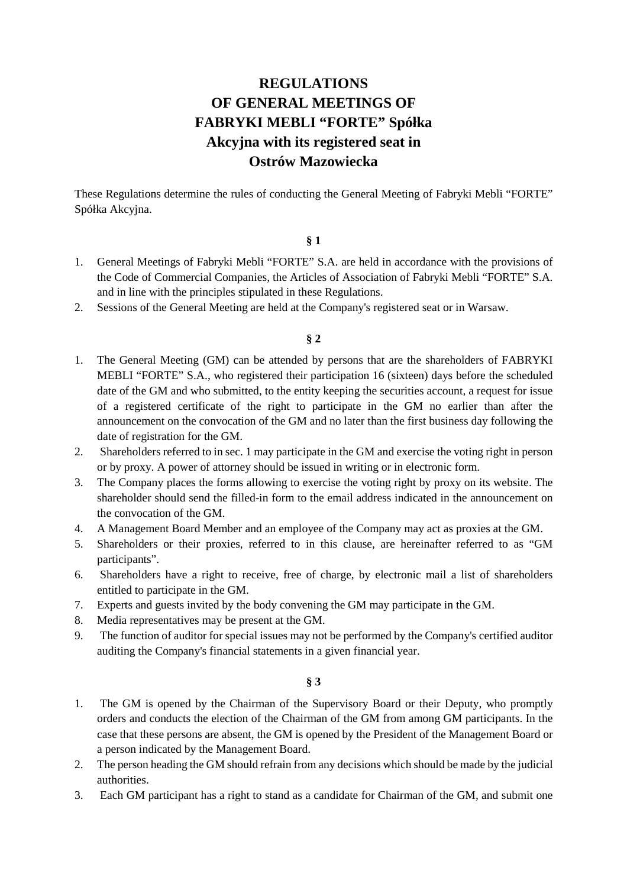# **REGULATIONS OF GENERAL MEETINGS OF FABRYKI MEBLI "FORTE" Spółka Akcyjna with its registered seat in Ostrów Mazowiecka**

These Regulations determine the rules of conducting the General Meeting of Fabryki Mebli "FORTE" Spółka Akcyjna.

#### **§ 1**

- 1. General Meetings of Fabryki Mebli "FORTE" S.A. are held in accordance with the provisions of the Code of Commercial Companies, the Articles of Association of Fabryki Mebli "FORTE" S.A. and in line with the principles stipulated in these Regulations.
- 2. Sessions of the General Meeting are held at the Company's registered seat or in Warsaw.

### **§ 2**

- 1. The General Meeting (GM) can be attended by persons that are the shareholders of FABRYKI MEBLI "FORTE" S.A., who registered their participation 16 (sixteen) days before the scheduled date of the GM and who submitted, to the entity keeping the securities account, a request for issue of a registered certificate of the right to participate in the GM no earlier than after the announcement on the convocation of the GM and no later than the first business day following the date of registration for the GM.
- 2. Shareholders referred to in sec. 1 may participate in the GM and exercise the voting right in person or by proxy. A power of attorney should be issued in writing or in electronic form.
- 3. The Company places the forms allowing to exercise the voting right by proxy on its website. The shareholder should send the filled-in form to the email address indicated in the announcement on the convocation of the GM.
- 4. A Management Board Member and an employee of the Company may act as proxies at the GM.
- 5. Shareholders or their proxies, referred to in this clause, are hereinafter referred to as "GM participants".
- 6. Shareholders have a right to receive, free of charge, by electronic mail a list of shareholders entitled to participate in the GM.
- 7. Experts and guests invited by the body convening the GM may participate in the GM.
- 8. Media representatives may be present at the GM.
- 9. The function of auditor for special issues may not be performed by the Company's certified auditor auditing the Company's financial statements in a given financial year.

#### **§ 3**

- 1. The GM is opened by the Chairman of the Supervisory Board or their Deputy, who promptly orders and conducts the election of the Chairman of the GM from among GM participants. In the case that these persons are absent, the GM is opened by the President of the Management Board or a person indicated by the Management Board.
- 2. The person heading the GM should refrain from any decisions which should be made by the judicial authorities.
- 3. Each GM participant has a right to stand as a candidate for Chairman of the GM, and submit one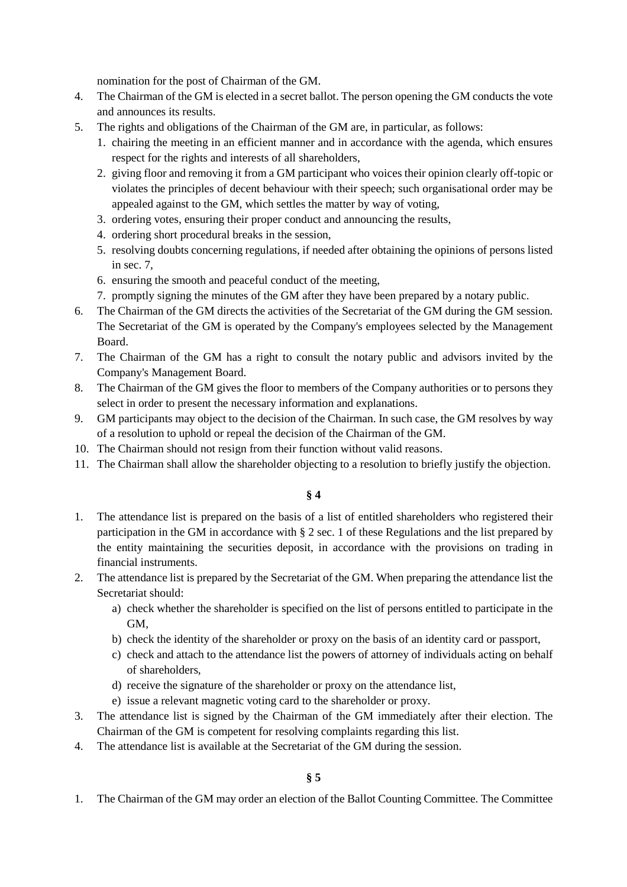nomination for the post of Chairman of the GM.

- 4. The Chairman of the GM is elected in a secret ballot. The person opening the GM conducts the vote and announces its results.
- 5. The rights and obligations of the Chairman of the GM are, in particular, as follows:
	- 1. chairing the meeting in an efficient manner and in accordance with the agenda, which ensures respect for the rights and interests of all shareholders,
	- 2. giving floor and removing it from a GM participant who voices their opinion clearly off-topic or violates the principles of decent behaviour with their speech; such organisational order may be appealed against to the GM, which settles the matter by way of voting,
	- 3. ordering votes, ensuring their proper conduct and announcing the results,
	- 4. ordering short procedural breaks in the session,
	- 5. resolving doubts concerning regulations, if needed after obtaining the opinions of persons listed in sec. 7,
	- 6. ensuring the smooth and peaceful conduct of the meeting,
	- 7. promptly signing the minutes of the GM after they have been prepared by a notary public.
- 6. The Chairman of the GM directs the activities of the Secretariat of the GM during the GM session. The Secretariat of the GM is operated by the Company's employees selected by the Management Board.
- 7. The Chairman of the GM has a right to consult the notary public and advisors invited by the Company's Management Board.
- 8. The Chairman of the GM gives the floor to members of the Company authorities or to persons they select in order to present the necessary information and explanations.
- 9. GM participants may object to the decision of the Chairman. In such case, the GM resolves by way of a resolution to uphold or repeal the decision of the Chairman of the GM.
- 10. The Chairman should not resign from their function without valid reasons.
- 11. The Chairman shall allow the shareholder objecting to a resolution to briefly justify the objection.

# **§ 4**

- 1. The attendance list is prepared on the basis of a list of entitled shareholders who registered their participation in the GM in accordance with § 2 sec. 1 of these Regulations and the list prepared by the entity maintaining the securities deposit, in accordance with the provisions on trading in financial instruments.
- 2. The attendance list is prepared by the Secretariat of the GM. When preparing the attendance list the Secretariat should:
	- a) check whether the shareholder is specified on the list of persons entitled to participate in the GM,
	- b) check the identity of the shareholder or proxy on the basis of an identity card or passport,
	- c) check and attach to the attendance list the powers of attorney of individuals acting on behalf of shareholders,
	- d) receive the signature of the shareholder or proxy on the attendance list,
	- e) issue a relevant magnetic voting card to the shareholder or proxy.
- 3. The attendance list is signed by the Chairman of the GM immediately after their election. The Chairman of the GM is competent for resolving complaints regarding this list.
- 4. The attendance list is available at the Secretariat of the GM during the session.

1. The Chairman of the GM may order an election of the Ballot Counting Committee. The Committee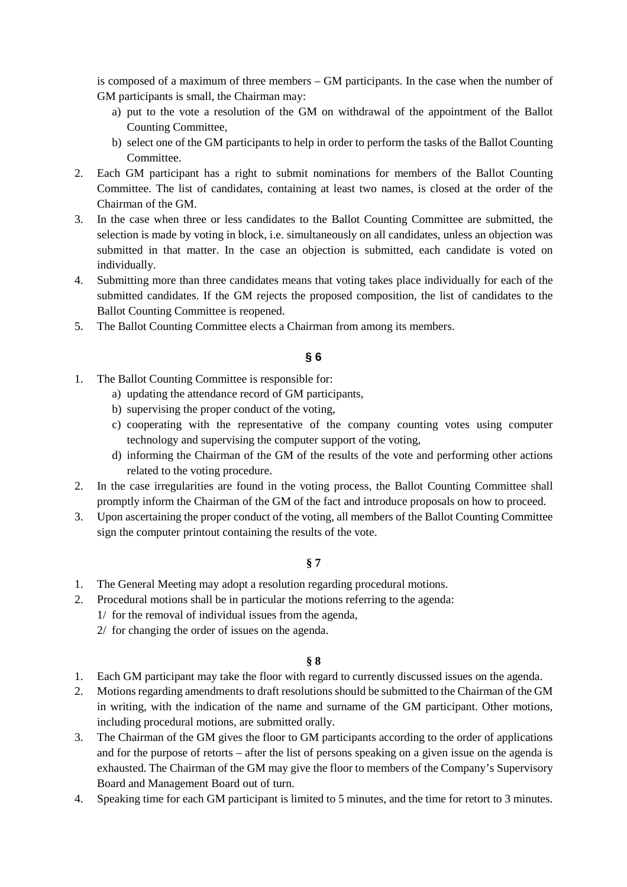is composed of a maximum of three members – GM participants. In the case when the number of GM participants is small, the Chairman may:

- a) put to the vote a resolution of the GM on withdrawal of the appointment of the Ballot Counting Committee,
- b) select one of the GM participants to help in order to perform the tasks of the Ballot Counting Committee.
- 2. Each GM participant has a right to submit nominations for members of the Ballot Counting Committee. The list of candidates, containing at least two names, is closed at the order of the Chairman of the GM.
- 3. In the case when three or less candidates to the Ballot Counting Committee are submitted, the selection is made by voting in block, i.e. simultaneously on all candidates, unless an objection was submitted in that matter. In the case an objection is submitted, each candidate is voted on individually.
- 4. Submitting more than three candidates means that voting takes place individually for each of the submitted candidates. If the GM rejects the proposed composition, the list of candidates to the Ballot Counting Committee is reopened.
- 5. The Ballot Counting Committee elects a Chairman from among its members.

# **§ 6**

- 1. The Ballot Counting Committee is responsible for:
	- a) updating the attendance record of GM participants,
	- b) supervising the proper conduct of the voting,
	- c) cooperating with the representative of the company counting votes using computer technology and supervising the computer support of the voting,
	- d) informing the Chairman of the GM of the results of the vote and performing other actions related to the voting procedure.
- 2. In the case irregularities are found in the voting process, the Ballot Counting Committee shall promptly inform the Chairman of the GM of the fact and introduce proposals on how to proceed.
- 3. Upon ascertaining the proper conduct of the voting, all members of the Ballot Counting Committee sign the computer printout containing the results of the vote.

#### **§ 7**

- 1. The General Meeting may adopt a resolution regarding procedural motions.
- 2. Procedural motions shall be in particular the motions referring to the agenda: 1/ for the removal of individual issues from the agenda,
	- 2/ for changing the order of issues on the agenda.

# **§ 8**

- 1. Each GM participant may take the floor with regard to currently discussed issues on the agenda.
- 2. Motions regarding amendments to draft resolutions should be submitted to the Chairman of the GM in writing, with the indication of the name and surname of the GM participant. Other motions, including procedural motions, are submitted orally.
- 3. The Chairman of the GM gives the floor to GM participants according to the order of applications and for the purpose of retorts – after the list of persons speaking on a given issue on the agenda is exhausted. The Chairman of the GM may give the floor to members of the Company's Supervisory Board and Management Board out of turn.
- 4. Speaking time for each GM participant is limited to 5 minutes, and the time for retort to 3 minutes.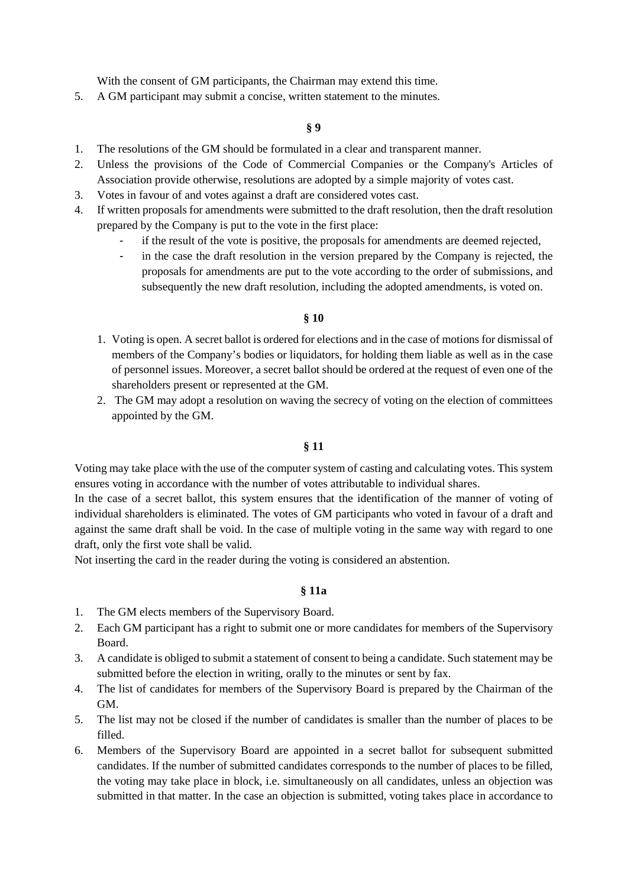With the consent of GM participants, the Chairman may extend this time.

5. A GM participant may submit a concise, written statement to the minutes.

#### **§ 9**

- 1. The resolutions of the GM should be formulated in a clear and transparent manner.
- 2. Unless the provisions of the Code of Commercial Companies or the Company's Articles of Association provide otherwise, resolutions are adopted by a simple majority of votes cast.
- 3. Votes in favour of and votes against a draft are considered votes cast.
- 4. If written proposals for amendments were submitted to the draft resolution, then the draft resolution prepared by the Company is put to the vote in the first place:
	- if the result of the vote is positive, the proposals for amendments are deemed rejected,
	- in the case the draft resolution in the version prepared by the Company is rejected, the proposals for amendments are put to the vote according to the order of submissions, and subsequently the new draft resolution, including the adopted amendments, is voted on.

#### **§ 10**

- 1. Voting is open. A secret ballot is ordered for elections and in the case of motions for dismissal of members of the Company's bodies or liquidators, for holding them liable as well as in the case of personnel issues. Moreover, a secret ballot should be ordered at the request of even one of the shareholders present or represented at the GM.
- 2. The GM may adopt a resolution on waving the secrecy of voting on the election of committees appointed by the GM.

#### **§ 11**

Voting may take place with the use of the computer system of casting and calculating votes. This system ensures voting in accordance with the number of votes attributable to individual shares.

In the case of a secret ballot, this system ensures that the identification of the manner of voting of individual shareholders is eliminated. The votes of GM participants who voted in favour of a draft and against the same draft shall be void. In the case of multiple voting in the same way with regard to one draft, only the first vote shall be valid.

Not inserting the card in the reader during the voting is considered an abstention.

#### **§ 11a**

- 1. The GM elects members of the Supervisory Board.
- 2. Each GM participant has a right to submit one or more candidates for members of the Supervisory Board.
- 3. A candidate is obliged to submit a statement of consent to being a candidate. Such statement may be submitted before the election in writing, orally to the minutes or sent by fax.
- 4. The list of candidates for members of the Supervisory Board is prepared by the Chairman of the GM.
- 5. The list may not be closed if the number of candidates is smaller than the number of places to be filled.
- 6. Members of the Supervisory Board are appointed in a secret ballot for subsequent submitted candidates. If the number of submitted candidates corresponds to the number of places to be filled, the voting may take place in block, i.e. simultaneously on all candidates, unless an objection was submitted in that matter. In the case an objection is submitted, voting takes place in accordance to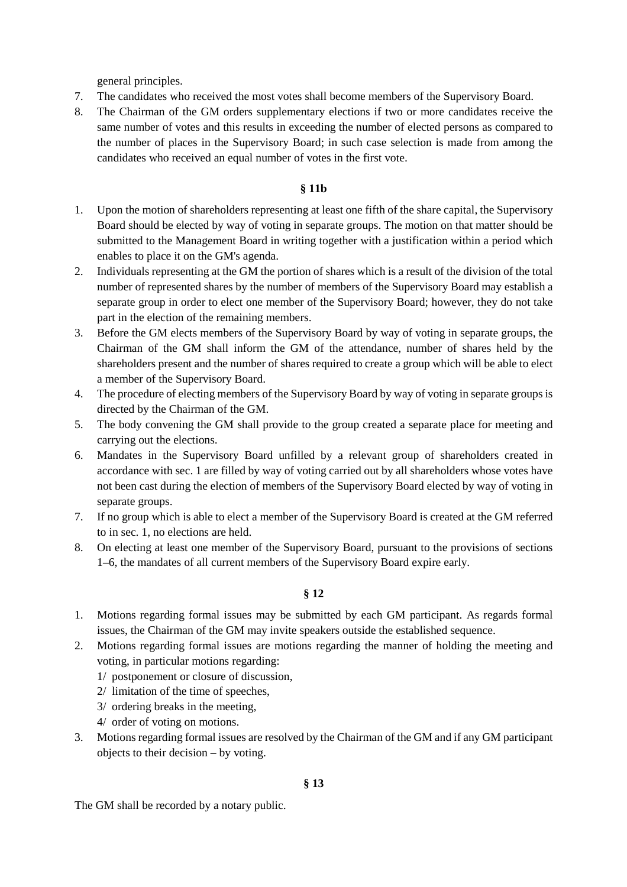general principles.

- 7. The candidates who received the most votes shall become members of the Supervisory Board.
- 8. The Chairman of the GM orders supplementary elections if two or more candidates receive the same number of votes and this results in exceeding the number of elected persons as compared to the number of places in the Supervisory Board; in such case selection is made from among the candidates who received an equal number of votes in the first vote.

# **§ 11b**

- 1. Upon the motion of shareholders representing at least one fifth of the share capital, the Supervisory Board should be elected by way of voting in separate groups. The motion on that matter should be submitted to the Management Board in writing together with a justification within a period which enables to place it on the GM's agenda.
- 2. Individuals representing at the GM the portion of shares which is a result of the division of the total number of represented shares by the number of members of the Supervisory Board may establish a separate group in order to elect one member of the Supervisory Board; however, they do not take part in the election of the remaining members.
- 3. Before the GM elects members of the Supervisory Board by way of voting in separate groups, the Chairman of the GM shall inform the GM of the attendance, number of shares held by the shareholders present and the number of shares required to create a group which will be able to elect a member of the Supervisory Board.
- 4. The procedure of electing members of the Supervisory Board by way of voting in separate groups is directed by the Chairman of the GM.
- 5. The body convening the GM shall provide to the group created a separate place for meeting and carrying out the elections.
- 6. Mandates in the Supervisory Board unfilled by a relevant group of shareholders created in accordance with sec. 1 are filled by way of voting carried out by all shareholders whose votes have not been cast during the election of members of the Supervisory Board elected by way of voting in separate groups.
- 7. If no group which is able to elect a member of the Supervisory Board is created at the GM referred to in sec. 1, no elections are held.
- 8. On electing at least one member of the Supervisory Board, pursuant to the provisions of sections 1–6, the mandates of all current members of the Supervisory Board expire early.

# **§ 12**

- 1. Motions regarding formal issues may be submitted by each GM participant. As regards formal issues, the Chairman of the GM may invite speakers outside the established sequence.
- 2. Motions regarding formal issues are motions regarding the manner of holding the meeting and voting, in particular motions regarding:
	- 1/ postponement or closure of discussion,
	- 2/ limitation of the time of speeches,
	- 3/ ordering breaks in the meeting,
	- 4/ order of voting on motions.
- 3. Motions regarding formal issues are resolved by the Chairman of the GM and if any GM participant objects to their decision – by voting.

The GM shall be recorded by a notary public.